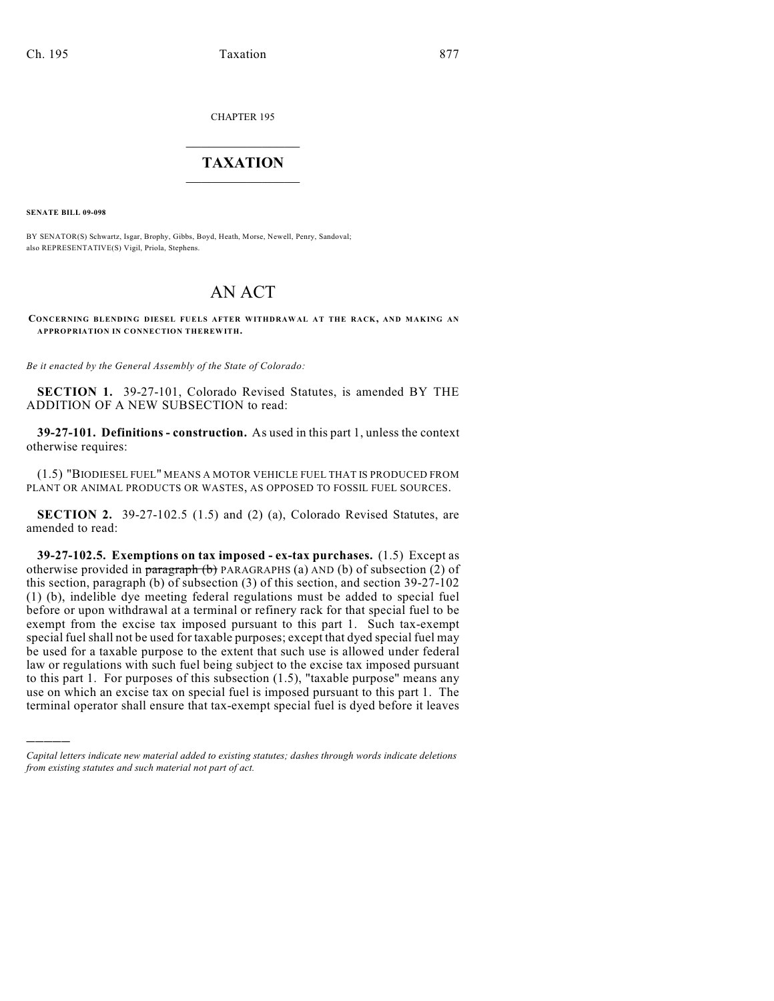CHAPTER 195

## $\overline{\phantom{a}}$  . The set of the set of the set of the set of the set of the set of the set of the set of the set of the set of the set of the set of the set of the set of the set of the set of the set of the set of the set o **TAXATION**  $\_$

**SENATE BILL 09-098**

)))))

BY SENATOR(S) Schwartz, Isgar, Brophy, Gibbs, Boyd, Heath, Morse, Newell, Penry, Sandoval; also REPRESENTATIVE(S) Vigil, Priola, Stephens.

## AN ACT

**CONCERNING BLENDING DIESEL FUELS AFTER WITHDRAWAL AT THE RACK, AND MAKING AN APPROPRIATION IN CONNECTION THEREWITH.**

*Be it enacted by the General Assembly of the State of Colorado:*

**SECTION 1.** 39-27-101, Colorado Revised Statutes, is amended BY THE ADDITION OF A NEW SUBSECTION to read:

**39-27-101. Definitions - construction.** As used in this part 1, unless the context otherwise requires:

(1.5) "BIODIESEL FUEL" MEANS A MOTOR VEHICLE FUEL THAT IS PRODUCED FROM PLANT OR ANIMAL PRODUCTS OR WASTES, AS OPPOSED TO FOSSIL FUEL SOURCES.

**SECTION 2.** 39-27-102.5 (1.5) and (2) (a), Colorado Revised Statutes, are amended to read:

**39-27-102.5. Exemptions on tax imposed - ex-tax purchases.** (1.5) Except as otherwise provided in paragraph (b) PARAGRAPHS (a) AND (b) of subsection (2) of this section, paragraph (b) of subsection (3) of this section, and section 39-27-102 (1) (b), indelible dye meeting federal regulations must be added to special fuel before or upon withdrawal at a terminal or refinery rack for that special fuel to be exempt from the excise tax imposed pursuant to this part 1. Such tax-exempt special fuel shall not be used for taxable purposes; except that dyed special fuel may be used for a taxable purpose to the extent that such use is allowed under federal law or regulations with such fuel being subject to the excise tax imposed pursuant to this part 1. For purposes of this subsection (1.5), "taxable purpose" means any use on which an excise tax on special fuel is imposed pursuant to this part 1. The terminal operator shall ensure that tax-exempt special fuel is dyed before it leaves

*Capital letters indicate new material added to existing statutes; dashes through words indicate deletions from existing statutes and such material not part of act.*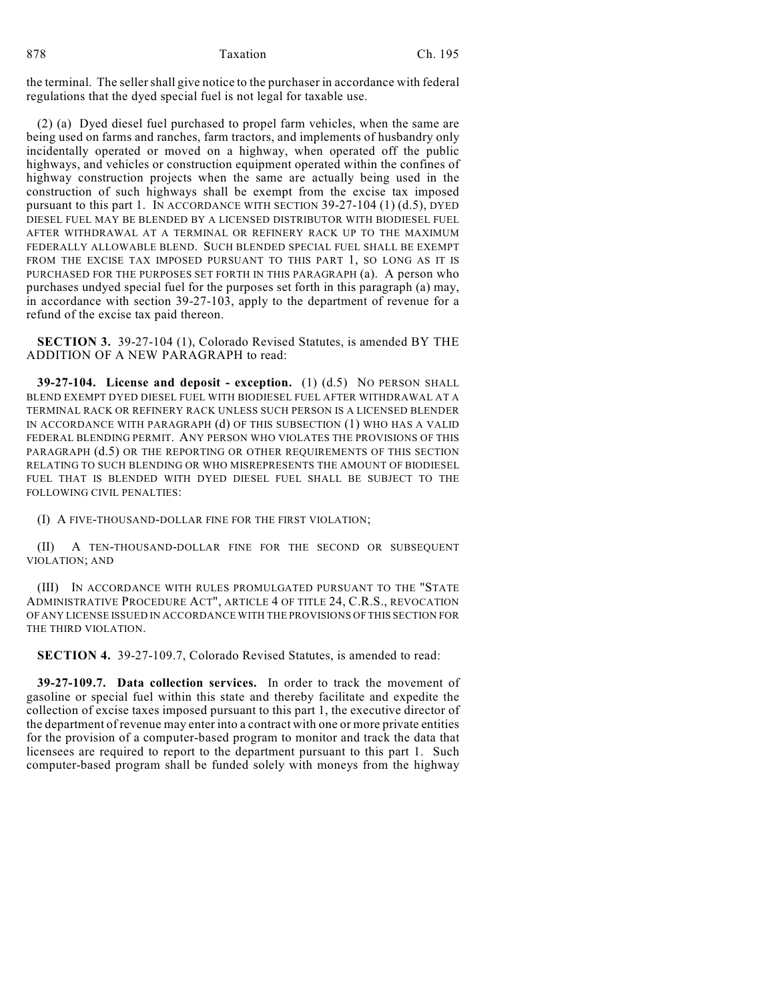the terminal. The seller shall give notice to the purchaser in accordance with federal regulations that the dyed special fuel is not legal for taxable use.

(2) (a) Dyed diesel fuel purchased to propel farm vehicles, when the same are being used on farms and ranches, farm tractors, and implements of husbandry only incidentally operated or moved on a highway, when operated off the public highways, and vehicles or construction equipment operated within the confines of highway construction projects when the same are actually being used in the construction of such highways shall be exempt from the excise tax imposed pursuant to this part 1. IN ACCORDANCE WITH SECTION  $39-27-104$  (1) (d.5), DYED DIESEL FUEL MAY BE BLENDED BY A LICENSED DISTRIBUTOR WITH BIODIESEL FUEL AFTER WITHDRAWAL AT A TERMINAL OR REFINERY RACK UP TO THE MAXIMUM FEDERALLY ALLOWABLE BLEND. SUCH BLENDED SPECIAL FUEL SHALL BE EXEMPT FROM THE EXCISE TAX IMPOSED PURSUANT TO THIS PART 1, SO LONG AS IT IS PURCHASED FOR THE PURPOSES SET FORTH IN THIS PARAGRAPH (a). A person who purchases undyed special fuel for the purposes set forth in this paragraph (a) may, in accordance with section 39-27-103, apply to the department of revenue for a refund of the excise tax paid thereon.

**SECTION 3.** 39-27-104 (1), Colorado Revised Statutes, is amended BY THE ADDITION OF A NEW PARAGRAPH to read:

**39-27-104. License and deposit - exception.** (1) (d.5) NO PERSON SHALL BLEND EXEMPT DYED DIESEL FUEL WITH BIODIESEL FUEL AFTER WITHDRAWAL AT A TERMINAL RACK OR REFINERY RACK UNLESS SUCH PERSON IS A LICENSED BLENDER IN ACCORDANCE WITH PARAGRAPH (d) OF THIS SUBSECTION (1) WHO HAS A VALID FEDERAL BLENDING PERMIT. ANY PERSON WHO VIOLATES THE PROVISIONS OF THIS PARAGRAPH (d.5) OR THE REPORTING OR OTHER REQUIREMENTS OF THIS SECTION RELATING TO SUCH BLENDING OR WHO MISREPRESENTS THE AMOUNT OF BIODIESEL FUEL THAT IS BLENDED WITH DYED DIESEL FUEL SHALL BE SUBJECT TO THE FOLLOWING CIVIL PENALTIES:

(I) A FIVE-THOUSAND-DOLLAR FINE FOR THE FIRST VIOLATION;

(II) A TEN-THOUSAND-DOLLAR FINE FOR THE SECOND OR SUBSEQUENT VIOLATION; AND

(III) IN ACCORDANCE WITH RULES PROMULGATED PURSUANT TO THE "STATE ADMINISTRATIVE PROCEDURE ACT", ARTICLE 4 OF TITLE 24, C.R.S., REVOCATION OF ANY LICENSE ISSUED IN ACCORDANCE WITH THE PROVISIONS OF THIS SECTION FOR THE THIRD VIOLATION.

**SECTION 4.** 39-27-109.7, Colorado Revised Statutes, is amended to read:

**39-27-109.7. Data collection services.** In order to track the movement of gasoline or special fuel within this state and thereby facilitate and expedite the collection of excise taxes imposed pursuant to this part 1, the executive director of the department of revenue may enter into a contract with one or more private entities for the provision of a computer-based program to monitor and track the data that licensees are required to report to the department pursuant to this part 1. Such computer-based program shall be funded solely with moneys from the highway